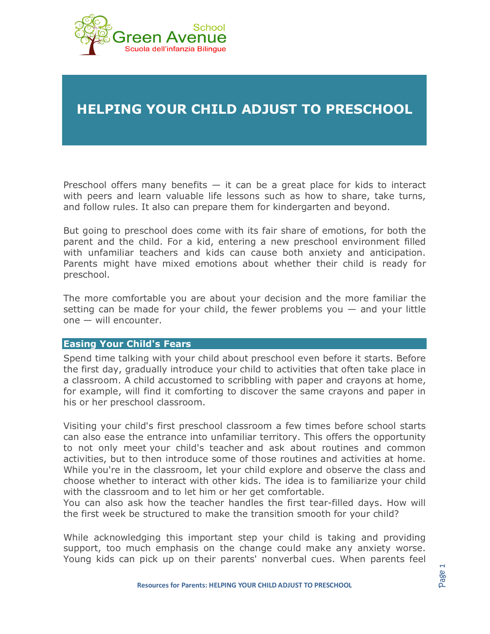

## **HELPING YOUR CHILD ADJUST TO PRESCHOOL**

Preschool offers many benefits  $-$  it can be a great place for kids to interact with peers and learn valuable life lessons such as how to share, take turns, and follow rules. It also can prepare them for kindergarten and beyond.

But going to preschool does come with its fair share of emotions, for both the parent and the child. For a kid, entering a new preschool environment filled with unfamiliar teachers and kids can cause both anxiety and anticipation. Parents might have mixed emotions about whether their child is ready for preschool.

The more comfortable you are about your decision and the more familiar the setting can be made for your child, the fewer problems you  $-$  and your little one — will encounter.

## **Easing Your Child's Fears**

Spend time talking with your child about preschool even before it starts. Before the first day, gradually introduce your child to activities that often take place in a classroom. A child accustomed to scribbling with paper and crayons at home, for example, will find it comforting to discover the same crayons and paper in his or her preschool classroom.

Visiting your child's first preschool classroom a few times before school starts can also ease the entrance into unfamiliar territory. This offers the opportunity to not only meet your child's teacher and ask about routines and common activities, but to then introduce some of those routines and activities at home. While you're in the classroom, let your child explore and observe the class and choose whether to interact with other kids. The idea is to familiarize your child with the classroom and to let him or her get comfortable.

You can also ask how the teacher handles the first tear-filled days. How will the first week be structured to make the transition smooth for your child?

While acknowledging this important step your child is taking and providing support, too much emphasis on the change could make any anxiety worse. Young kids can pick up on their parents' nonverbal cues. When parents feel